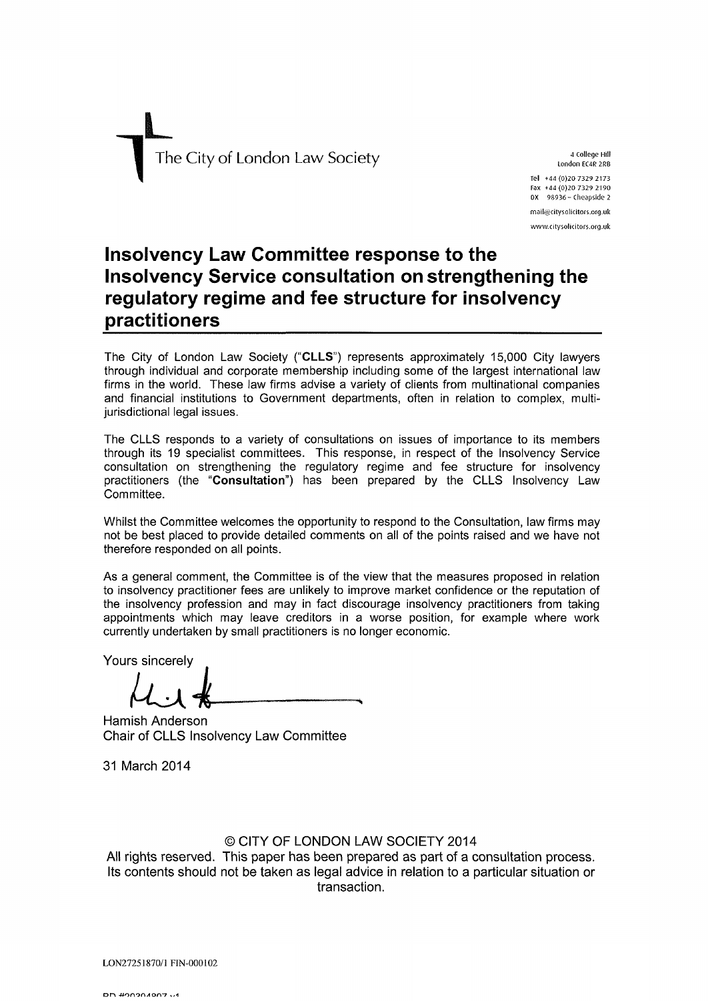

London EC4R 2RB Tel +44(0)20 7329 2173 Fax +44 (0)20 7329 2190 0X 98936 - Cheapside 2 moil@citysoiicitors.ofg.uk

#### www.citysolicitors.org.uk

## **Insolvency Law Committee response to the Insolvency Service consultation on strengthening the regulatory regime and fee structure for insolvency practitioners**

The City of London Law Society **("CLLS")** represents approximately 15,000 City lawyers through individual and corporate membership including some of the largest international law firms in the world. These law firms advise a variety of clients from multinational companies and financial institutions to Government departments, often in relation to complex, multijurisdictional legal issues.

The CLLS responds to a variety of consultations on issues of importance to its members through its 19 specialist committees. This response, in respect of the Insolvency Service consultation on strengthening the regulatory regime and fee structure for insolvency practitioners (the **"Consultation")** has been prepared by the CLLS Insolvency Law Committee.

Whilst the Committee welcomes the opportunity to respond to the Consultation, law firms may not be best placed to provide detailed comments on all of the points raised and we have not therefore responded on all points.

As a general comment, the Committee is of the view that the measures proposed in relation to insolvency practitioner fees are unlikely to improve market confidence or the reputation of the insolvency profession and may in fact discourage insolvency practitioners from taking appointments which may leave creditors in a worse position, for example where work currently undertaken by small practitioners is no longer economic.

Yours sincerely

 $\mu$ il

Hamish Anderson Chair of CLLS Insolvency Law Committee

31 March 2014

#### © CITY OF LONDON LAW SOCIETY 2014

All rights reserved. This paper has been prepared as part of a consultation process. Its contents should not be taken as legal advice in relation to a particular situation or transaction.

LON27251870/1 FIN-000102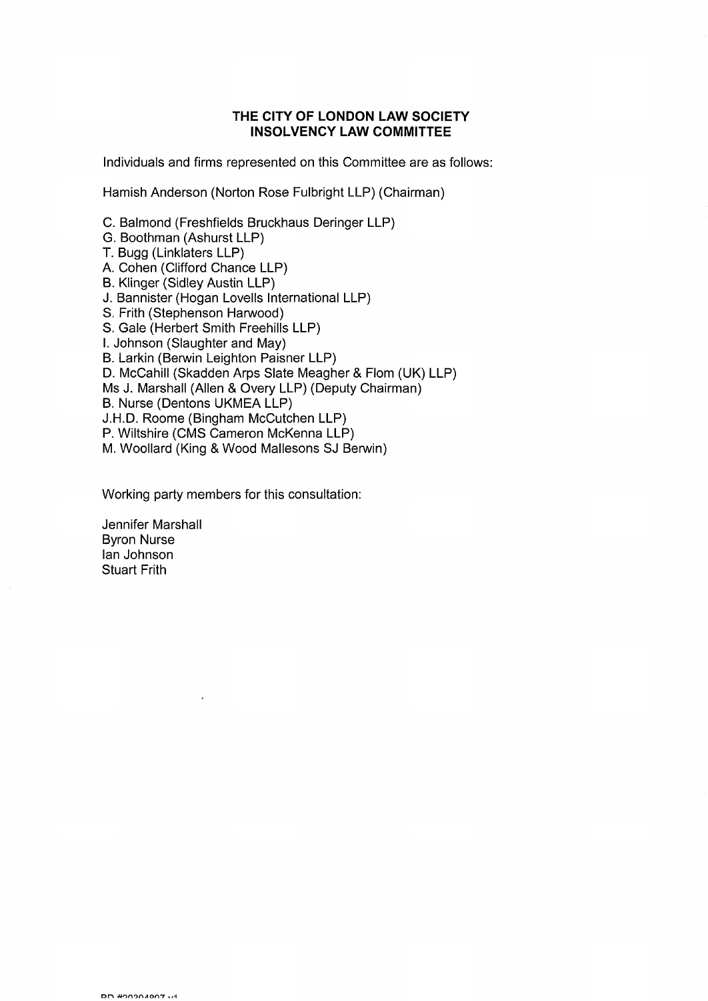#### **THE CITY OF LONDON LAW SOCIETY INSOLVENCY LAW COMMITTEE**

Individuals and firms represented on this Committee are as follows:

Hamish Anderson (Norton Rose Fulbright LLP) (Chairman)

C. Balmond (Freshfields Bruckhaus Deringer LLP)

- G. Boothman (Ashurst LLP)
- T. Bugg (Linklaters LLP)
- A. Cohen (Clifford Chance LLP)
- B. Klinger (Sidley Austin LLP)
- J. Bannister (Hogan Lovells International LLP)
- S. Frith (Stephenson Harwood)
- S. Gale (Herbert Smith Freehills LLP)
- I. Johnson (Slaughter and May)
- B. Larkin (Berwin Leighton Paisner LLP)

D. McCahill (Skadden Arps Slate Meagher & Flom (UK) LLP)

Ms J. Marshall (Allen & Overy LLP) (Deputy Chairman)

B. Nurse (Dentons UKMEA LLP)

J.H.D. Roome (Bingham McCutchen LLP)

P. Wiltshire (CMS Cameron McKenna LLP)

M. Woollard (King & Wood Mallesons SJ Berwin)

Working party members for this consultation:

Jennifer Marshall Byron Nurse Ian Johnson Stuart Frith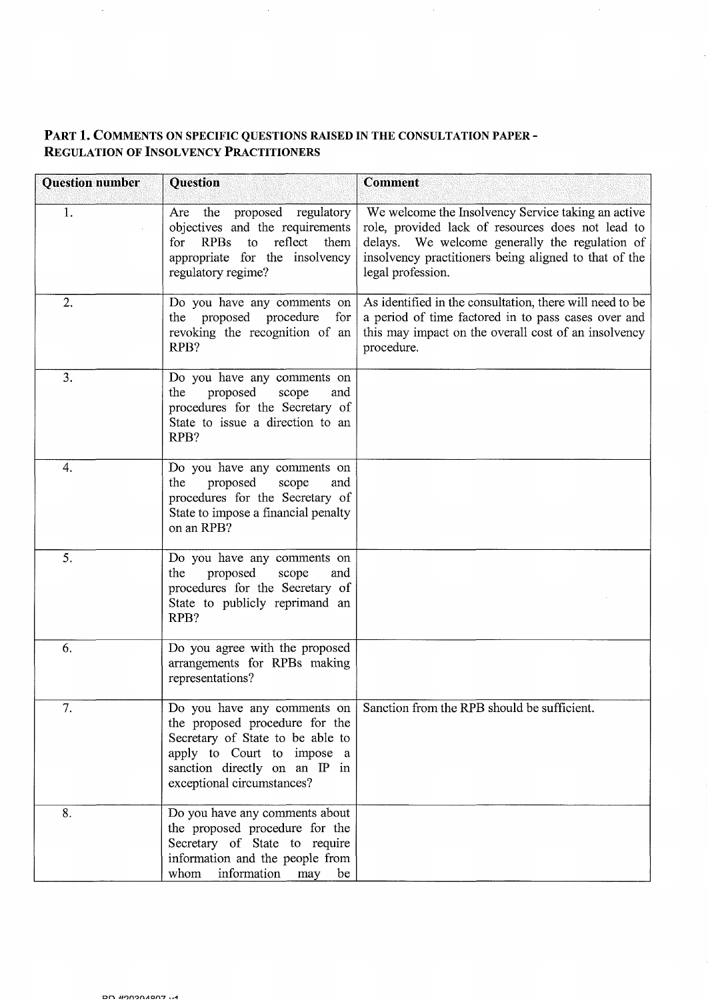### PART 1. COMMENTS ON SPECIFIC QUESTIONS RAISED IN THE CONSULTATION PAPER - REGULATION OF INSOLVENCY PRACTITIONERS

 $\sim$   $\sim$ 

 $\sim$ 

 $\label{eq:2.1} \frac{1}{\sqrt{2}}\int_{\mathbb{R}^3}\frac{1}{\sqrt{2}}\left(\frac{1}{\sqrt{2}}\right)^2\frac{1}{\sqrt{2}}\left(\frac{1}{\sqrt{2}}\right)^2\frac{1}{\sqrt{2}}\left(\frac{1}{\sqrt{2}}\right)^2.$ 

 $\sim 10$ 

| <b>Question number</b> | <b>Question</b>                                                                                                                                                                                | Comment                                                                                                                                                                                                                                 |
|------------------------|------------------------------------------------------------------------------------------------------------------------------------------------------------------------------------------------|-----------------------------------------------------------------------------------------------------------------------------------------------------------------------------------------------------------------------------------------|
| 1.                     | proposed regulatory<br>Are the<br>objectives and the requirements<br>RPBs<br>reflect<br>them<br>for<br>to<br>appropriate for the insolvency<br>regulatory regime?                              | We welcome the Insolvency Service taking an active<br>role, provided lack of resources does not lead to<br>delays. We welcome generally the regulation of<br>insolvency practitioners being aligned to that of the<br>legal profession. |
| 2.                     | Do you have any comments on<br>the proposed procedure<br>for<br>revoking the recognition of an<br>RPB?                                                                                         | As identified in the consultation, there will need to be<br>a period of time factored in to pass cases over and<br>this may impact on the overall cost of an insolvency<br>procedure.                                                   |
| 3.                     | Do you have any comments on<br>the<br>proposed<br>scope<br>and<br>procedures for the Secretary of<br>State to issue a direction to an<br>RPB?                                                  |                                                                                                                                                                                                                                         |
| 4.                     | Do you have any comments on<br>proposed<br>the<br>scope<br>and<br>procedures for the Secretary of<br>State to impose a financial penalty<br>on an RPB?                                         |                                                                                                                                                                                                                                         |
| 5.                     | Do you have any comments on<br>the<br>proposed<br>scope<br>and<br>procedures for the Secretary of<br>State to publicly reprimand an<br>RPB?                                                    |                                                                                                                                                                                                                                         |
| 6.                     | Do you agree with the proposed<br>arrangements for RPBs making<br>representations?                                                                                                             |                                                                                                                                                                                                                                         |
| 7.                     | Do you have any comments on<br>the proposed procedure for the<br>Secretary of State to be able to<br>apply to Court to impose a<br>sanction directly on an IP in<br>exceptional circumstances? | Sanction from the RPB should be sufficient.                                                                                                                                                                                             |
| 8.                     | Do you have any comments about<br>the proposed procedure for the<br>Secretary of State to require<br>information and the people from<br>whom<br>information<br>may<br>be                       |                                                                                                                                                                                                                                         |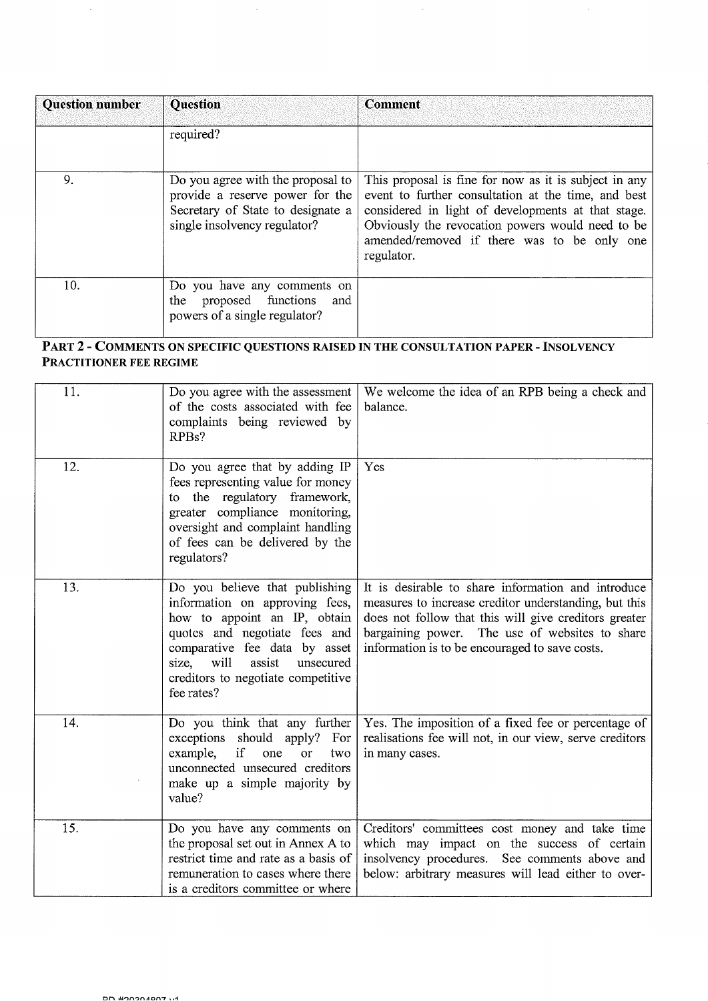| <b>Question number</b> | <b>Question</b>                                                                                                                           | <b>Comment</b>                                                                                                                                                                                                                                                                      |
|------------------------|-------------------------------------------------------------------------------------------------------------------------------------------|-------------------------------------------------------------------------------------------------------------------------------------------------------------------------------------------------------------------------------------------------------------------------------------|
|                        | required?                                                                                                                                 |                                                                                                                                                                                                                                                                                     |
| 9.                     | Do you agree with the proposal to<br>provide a reserve power for the<br>Secretary of State to designate a<br>single insolvency regulator? | This proposal is fine for now as it is subject in any<br>event to further consultation at the time, and best<br>considered in light of developments at that stage.<br>Obviously the revocation powers would need to be<br>amended/removed if there was to be only one<br>regulator. |
| 10.                    | Do you have any comments on<br>proposed functions<br>the<br>and<br>powers of a single regulator?                                          |                                                                                                                                                                                                                                                                                     |

 $\hat{\mathcal{A}}$ 

 $\bar{\gamma}$ 

 $\sim$ 

 $\hat{\mathcal{A}}$ 

#### PART 2 - COMMENTS ON SPECIFIC QUESTIONS RAISED IN THE CONSULTATION PAPER - INSOLVENCY PRACTITIONER FEE REGIME

| 11. | Do you agree with the assessment<br>of the costs associated with fee<br>complaints being reviewed by<br>RPBs?                                                                                                                                                  | We welcome the idea of an RPB being a check and<br>balance.                                                                                                                                                                                                              |
|-----|----------------------------------------------------------------------------------------------------------------------------------------------------------------------------------------------------------------------------------------------------------------|--------------------------------------------------------------------------------------------------------------------------------------------------------------------------------------------------------------------------------------------------------------------------|
| 12. | Do you agree that by adding IP<br>fees representing value for money<br>to the regulatory framework,<br>greater compliance monitoring,<br>oversight and complaint handling<br>of fees can be delivered by the<br>regulators?                                    | Yes                                                                                                                                                                                                                                                                      |
| 13. | Do you believe that publishing<br>information on approving fees,<br>how to appoint an IP, obtain<br>quotes and negotiate fees and<br>comparative fee data by asset<br>assist<br>will<br>size,<br>unsecured<br>creditors to negotiate competitive<br>fee rates? | It is desirable to share information and introduce<br>measures to increase creditor understanding, but this<br>does not follow that this will give creditors greater<br>bargaining power. The use of websites to share<br>information is to be encouraged to save costs. |
| 14. | Do you think that any further<br>exceptions should apply?<br>For<br>if<br>example,<br>one<br><b>or</b><br>two<br>unconnected unsecured creditors<br>make up a simple majority by<br>value?                                                                     | Yes. The imposition of a fixed fee or percentage of<br>realisations fee will not, in our view, serve creditors<br>in many cases.                                                                                                                                         |
| 15. | Do you have any comments on<br>the proposal set out in Annex A to<br>restrict time and rate as a basis of<br>remuneration to cases where there<br>is a creditors committee or where                                                                            | Creditors' committees cost money and take time<br>which may impact on the success of certain<br>insolvency procedures. See comments above and<br>below: arbitrary measures will lead either to over-                                                                     |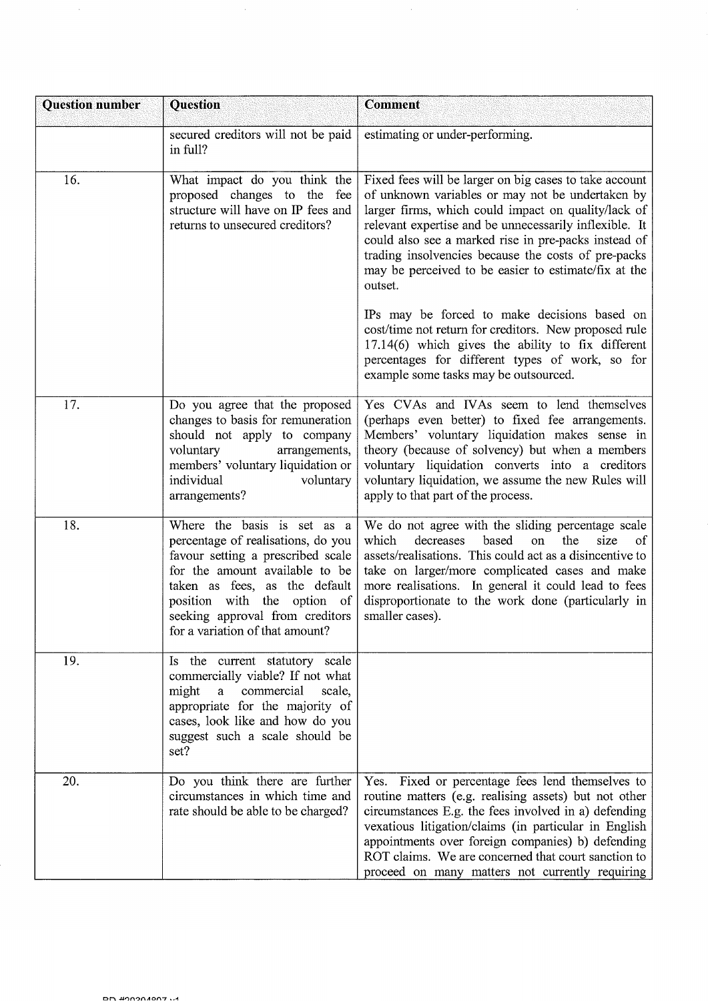| <b>Question number</b> | <b>Question</b>                                                                                                                                                                                                                                                                | <b>Comment</b>                                                                                                                                                                                                                                                                                                                                                                                                |
|------------------------|--------------------------------------------------------------------------------------------------------------------------------------------------------------------------------------------------------------------------------------------------------------------------------|---------------------------------------------------------------------------------------------------------------------------------------------------------------------------------------------------------------------------------------------------------------------------------------------------------------------------------------------------------------------------------------------------------------|
|                        | secured creditors will not be paid<br>in full?                                                                                                                                                                                                                                 | estimating or under-performing.                                                                                                                                                                                                                                                                                                                                                                               |
| 16.                    | What impact do you think the<br>proposed changes to the<br>fee<br>structure will have on IP fees and<br>returns to unsecured creditors?                                                                                                                                        | Fixed fees will be larger on big cases to take account<br>of unknown variables or may not be undertaken by<br>larger firms, which could impact on quality/lack of<br>relevant expertise and be unnecessarily inflexible. It<br>could also see a marked rise in pre-packs instead of<br>trading insolvencies because the costs of pre-packs<br>may be perceived to be easier to estimate/fix at the<br>outset. |
|                        |                                                                                                                                                                                                                                                                                | IPs may be forced to make decisions based on<br>cost/time not return for creditors. New proposed rule<br>$17.14(6)$ which gives the ability to fix different<br>percentages for different types of work, so for<br>example some tasks may be outsourced.                                                                                                                                                      |
| 17.                    | Do you agree that the proposed<br>changes to basis for remuneration<br>should not apply to company<br>voluntary<br>arrangements,<br>members' voluntary liquidation or<br>individual<br>voluntary<br>arrangements?                                                              | Yes CVAs and IVAs seem to lend themselves<br>(perhaps even better) to fixed fee arrangements.<br>Members' voluntary liquidation makes sense in<br>theory (because of solvency) but when a members<br>voluntary liquidation converts into a creditors<br>voluntary liquidation, we assume the new Rules will<br>apply to that part of the process.                                                             |
| 18.                    | Where the basis is set as a<br>percentage of realisations, do you<br>favour setting a prescribed scale<br>for the amount available to be<br>taken as fees, as the default<br>position with the option of<br>seeking approval from creditors<br>for a variation of that amount? | We do not agree with the sliding percentage scale<br>which<br>based<br>the<br>size<br>decreases<br>on<br>οf<br>assets/realisations. This could act as a disincentive to<br>take on larger/more complicated cases and make<br>more realisations. In general it could lead to fees<br>disproportionate to the work done (particularly in<br>smaller cases).                                                     |
| 19.                    | Is the current statutory scale<br>commercially viable? If not what<br>might<br>$\rm{a}$<br>commercial<br>scale,<br>appropriate for the majority of<br>cases, look like and how do you<br>suggest such a scale should be<br>set?                                                |                                                                                                                                                                                                                                                                                                                                                                                                               |
| 20.                    | Do you think there are further<br>circumstances in which time and<br>rate should be able to be charged?                                                                                                                                                                        | Yes. Fixed or percentage fees lend themselves to<br>routine matters (e.g. realising assets) but not other<br>circumstances E.g. the fees involved in a) defending<br>vexatious litigation/claims (in particular in English<br>appointments over foreign companies) b) defending<br>ROT claims. We are concerned that court sanction to<br>proceed on many matters not currently requiring                     |

 $\mathcal{L}_{\mathcal{A}}$ 

 $\mathcal{A}^{\mathcal{A}}$ 

 $\sim$ 

 $\mathcal{A}$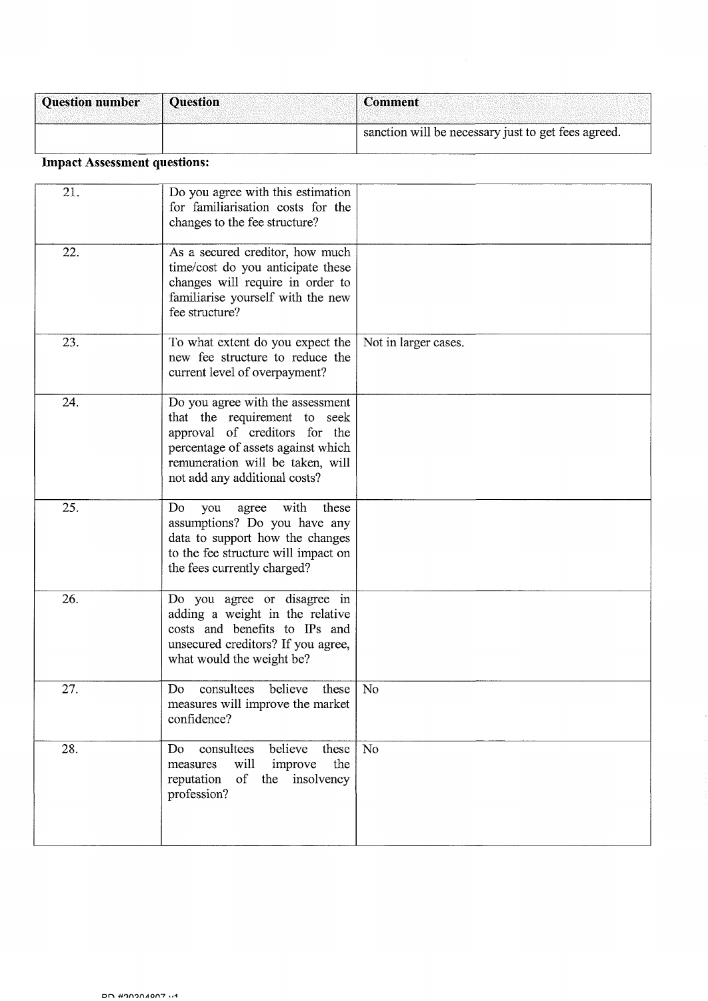| <b>Question number</b> | <b>Ouestion</b> | <sup>'</sup> Comment                                |
|------------------------|-----------------|-----------------------------------------------------|
|                        |                 | sanction will be necessary just to get fees agreed. |

# Impact Assessment questions:

| 21. | Do you agree with this estimation<br>for familiarisation costs for the<br>changes to the fee structure?                                                                                                      |                      |
|-----|--------------------------------------------------------------------------------------------------------------------------------------------------------------------------------------------------------------|----------------------|
| 22. | As a secured creditor, how much<br>time/cost do you anticipate these<br>changes will require in order to<br>familiarise yourself with the new<br>fee structure?                                              |                      |
| 23. | To what extent do you expect the<br>new fee structure to reduce the<br>current level of overpayment?                                                                                                         | Not in larger cases. |
| 24. | Do you agree with the assessment<br>that the requirement to seek<br>approval of creditors for the<br>percentage of assets against which<br>remuneration will be taken, will<br>not add any additional costs? |                      |
| 25. | with<br>agree<br>these<br>Do<br>you<br>assumptions? Do you have any<br>data to support how the changes<br>to the fee structure will impact on<br>the fees currently charged?                                 |                      |
| 26. | Do you agree or disagree in<br>adding a weight in the relative<br>costs and benefits to IPs and<br>unsecured creditors? If you agree,<br>what would the weight be?                                           |                      |
| 27. | believe<br>consultees<br>Do<br>these<br>measures will improve the market<br>confidence?                                                                                                                      | No                   |
| 28. | consultees<br>believe<br>these<br>Do<br>will<br>improve<br>the<br>measures<br>of<br>reputation<br>the insolvency<br>profession?                                                                              | No                   |